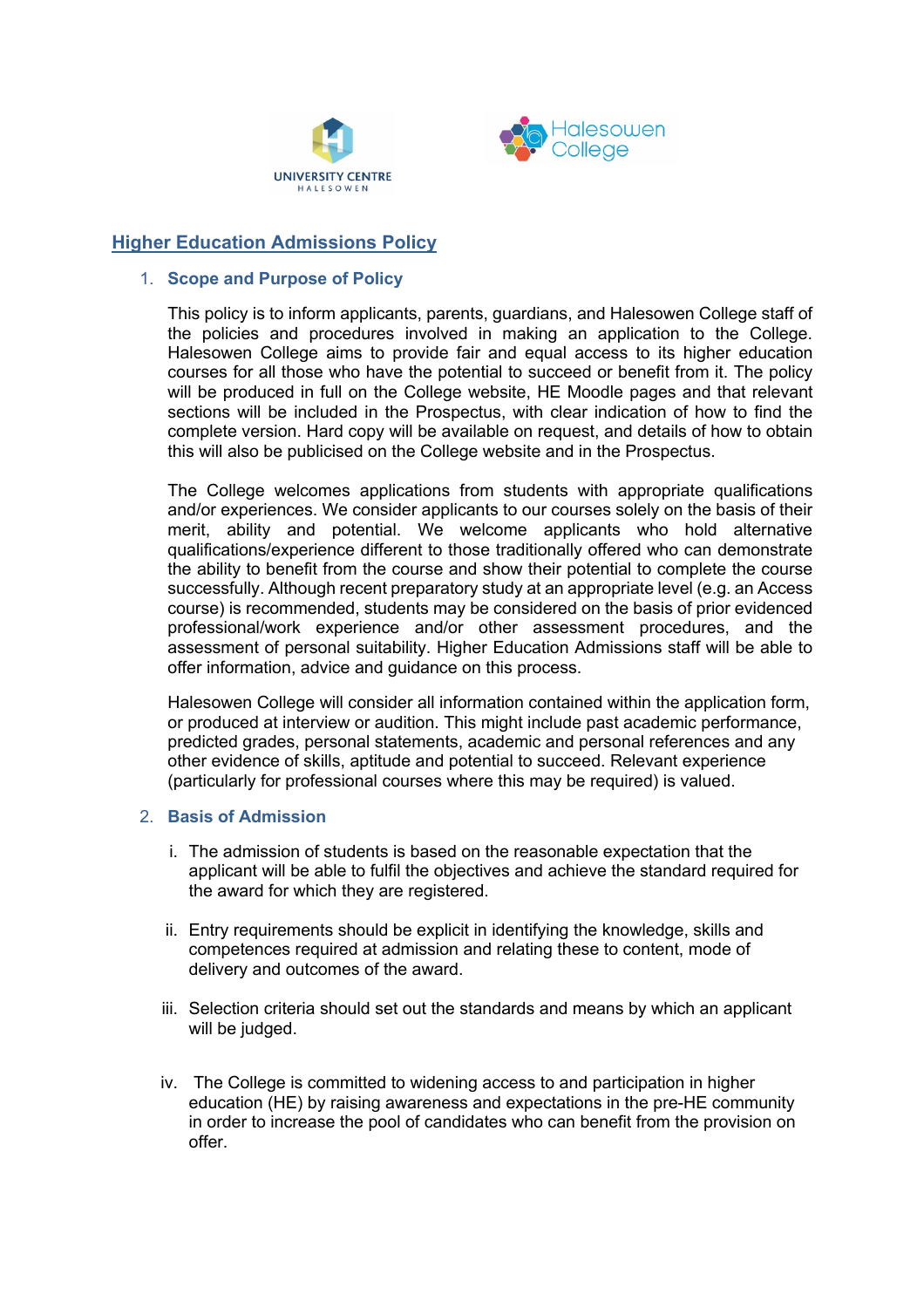



# **Higher Education Admissions Policy**

## 1. **Scope and Purpose of Policy**

This policy is to inform applicants, parents, guardians, and Halesowen College staff of the policies and procedures involved in making an application to the College. Halesowen College aims to provide fair and equal access to its higher education courses for all those who have the potential to succeed or benefit from it. The policy will be produced in full on the College website, HE Moodle pages and that relevant sections will be included in the Prospectus, with clear indication of how to find the complete version. Hard copy will be available on request, and details of how to obtain this will also be publicised on the College website and in the Prospectus.

The College welcomes applications from students with appropriate qualifications and/or experiences. We consider applicants to our courses solely on the basis of their merit, ability and potential. We welcome applicants who hold alternative qualifications/experience different to those traditionally offered who can demonstrate the ability to benefit from the course and show their potential to complete the course successfully. Although recent preparatory study at an appropriate level (e.g. an Access course) is recommended, students may be considered on the basis of prior evidenced professional/work experience and/or other assessment procedures, and the assessment of personal suitability. Higher Education Admissions staff will be able to offer information, advice and guidance on this process.

Halesowen College will consider all information contained within the application form, or produced at interview or audition. This might include past academic performance, predicted grades, personal statements, academic and personal references and any other evidence of skills, aptitude and potential to succeed. Relevant experience (particularly for professional courses where this may be required) is valued.

# 2. **Basis of Admission**

- i. The admission of students is based on the reasonable expectation that the applicant will be able to fulfil the objectives and achieve the standard required for the award for which they are registered.
- ii. Entry requirements should be explicit in identifying the knowledge, skills and competences required at admission and relating these to content, mode of delivery and outcomes of the award.
- iii. Selection criteria should set out the standards and means by which an applicant will be judged.
- iv. The College is committed to widening access to and participation in higher education (HE) by raising awareness and expectations in the pre-HE community in order to increase the pool of candidates who can benefit from the provision on offer.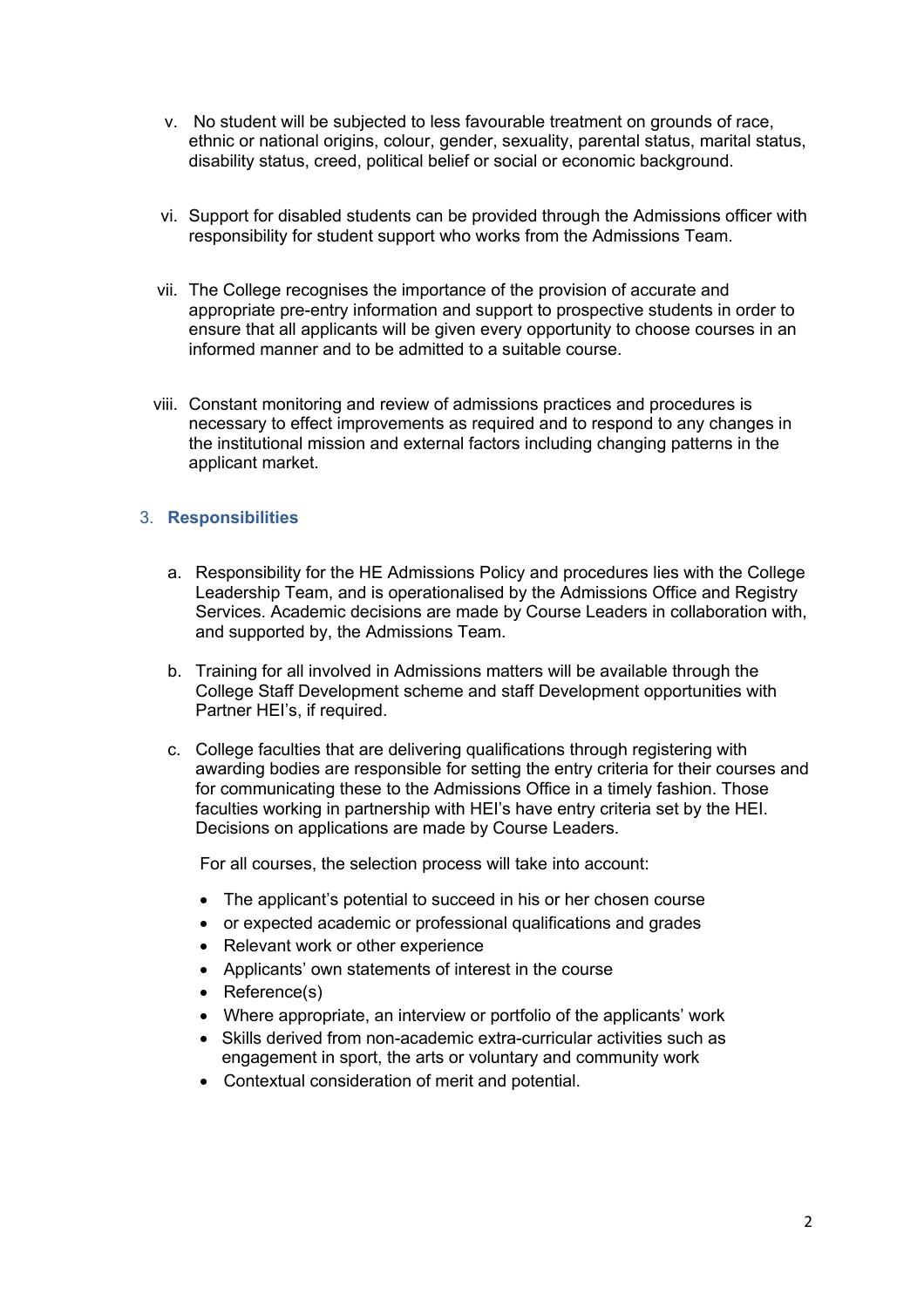- v. No student will be subjected to less favourable treatment on grounds of race, ethnic or national origins, colour, gender, sexuality, parental status, marital status, disability status, creed, political belief or social or economic background.
- vi. Support for disabled students can be provided through the Admissions officer with responsibility for student support who works from the Admissions Team.
- vii. The College recognises the importance of the provision of accurate and appropriate pre-entry information and support to prospective students in order to ensure that all applicants will be given every opportunity to choose courses in an informed manner and to be admitted to a suitable course.
- viii. Constant monitoring and review of admissions practices and procedures is necessary to effect improvements as required and to respond to any changes in the institutional mission and external factors including changing patterns in the applicant market.

# 3. **Responsibilities**

- a. Responsibility for the HE Admissions Policy and procedures lies with the College Leadership Team, and is operationalised by the Admissions Office and Registry Services. Academic decisions are made by Course Leaders in collaboration with, and supported by, the Admissions Team.
- b. Training for all involved in Admissions matters will be available through the College Staff Development scheme and staff Development opportunities with Partner HEI's, if required.
- c. College faculties that are delivering qualifications through registering with awarding bodies are responsible for setting the entry criteria for their courses and for communicating these to the Admissions Office in a timely fashion. Those faculties working in partnership with HEI's have entry criteria set by the HEI. Decisions on applications are made by Course Leaders.

For all courses, the selection process will take into account:

- The applicant's potential to succeed in his or her chosen course
- or expected academic or professional qualifications and grades
- Relevant work or other experience
- Applicants' own statements of interest in the course
- Reference(s)
- Where appropriate, an interview or portfolio of the applicants' work
- Skills derived from non-academic extra-curricular activities such as engagement in sport, the arts or voluntary and community work
- Contextual consideration of merit and potential.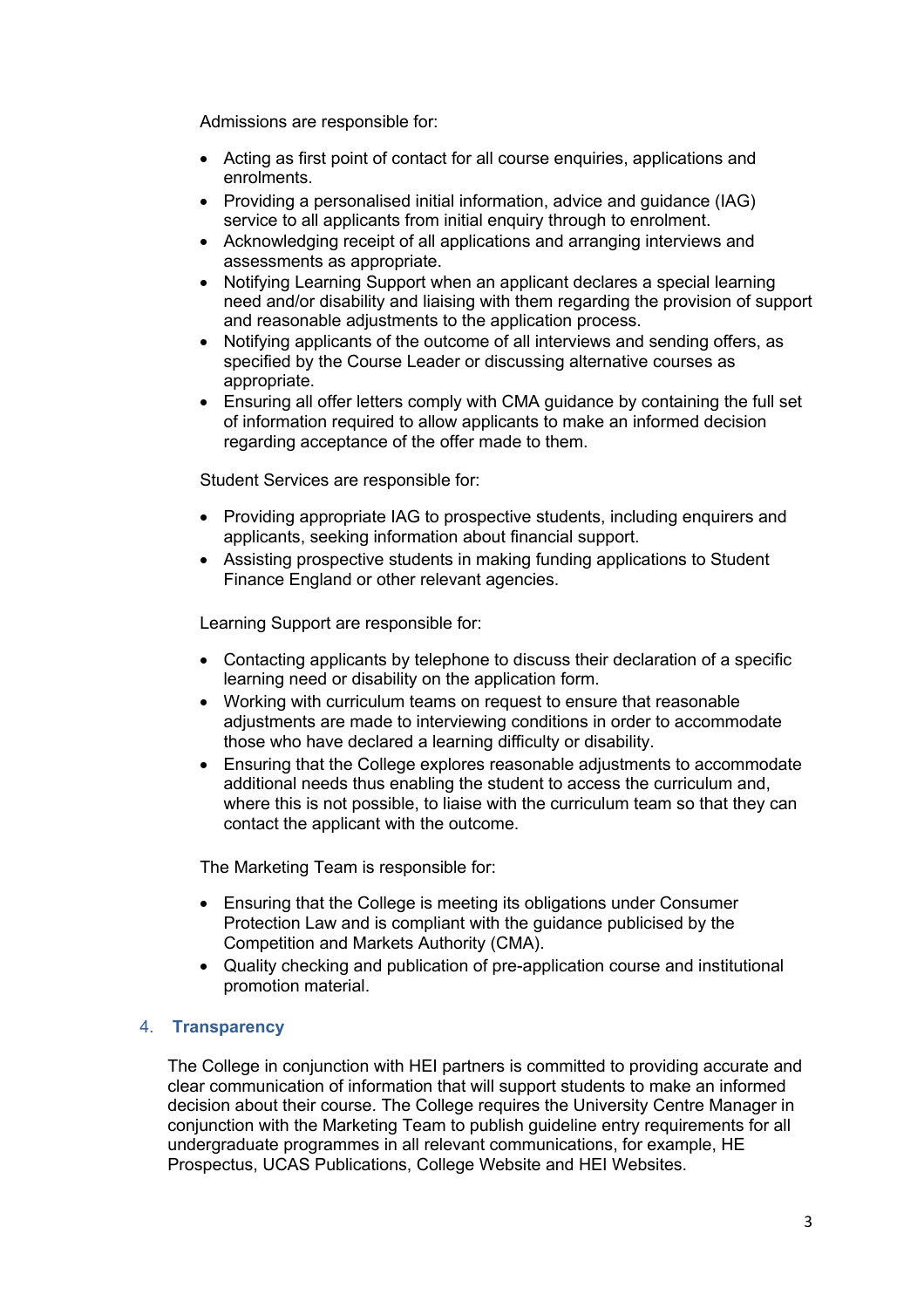Admissions are responsible for:

- Acting as first point of contact for all course enquiries, applications and enrolments.
- Providing a personalised initial information, advice and guidance (IAG) service to all applicants from initial enquiry through to enrolment.
- Acknowledging receipt of all applications and arranging interviews and assessments as appropriate.
- Notifying Learning Support when an applicant declares a special learning need and/or disability and liaising with them regarding the provision of support and reasonable adjustments to the application process.
- Notifying applicants of the outcome of all interviews and sending offers, as specified by the Course Leader or discussing alternative courses as appropriate.
- Ensuring all offer letters comply with CMA guidance by containing the full set of information required to allow applicants to make an informed decision regarding acceptance of the offer made to them.

Student Services are responsible for:

- Providing appropriate IAG to prospective students, including enquirers and applicants, seeking information about financial support.
- Assisting prospective students in making funding applications to Student Finance England or other relevant agencies.

Learning Support are responsible for:

- Contacting applicants by telephone to discuss their declaration of a specific learning need or disability on the application form.
- Working with curriculum teams on request to ensure that reasonable adjustments are made to interviewing conditions in order to accommodate those who have declared a learning difficulty or disability.
- Ensuring that the College explores reasonable adjustments to accommodate additional needs thus enabling the student to access the curriculum and, where this is not possible, to liaise with the curriculum team so that they can contact the applicant with the outcome.

The Marketing Team is responsible for:

- Ensuring that the College is meeting its obligations under Consumer Protection Law and is compliant with the guidance publicised by the Competition and Markets Authority (CMA).
- Quality checking and publication of pre-application course and institutional promotion material.

#### 4. **Transparency**

The College in conjunction with HEI partners is committed to providing accurate and clear communication of information that will support students to make an informed decision about their course. The College requires the University Centre Manager in conjunction with the Marketing Team to publish guideline entry requirements for all undergraduate programmes in all relevant communications, for example, HE Prospectus, UCAS Publications, College Website and HEI Websites.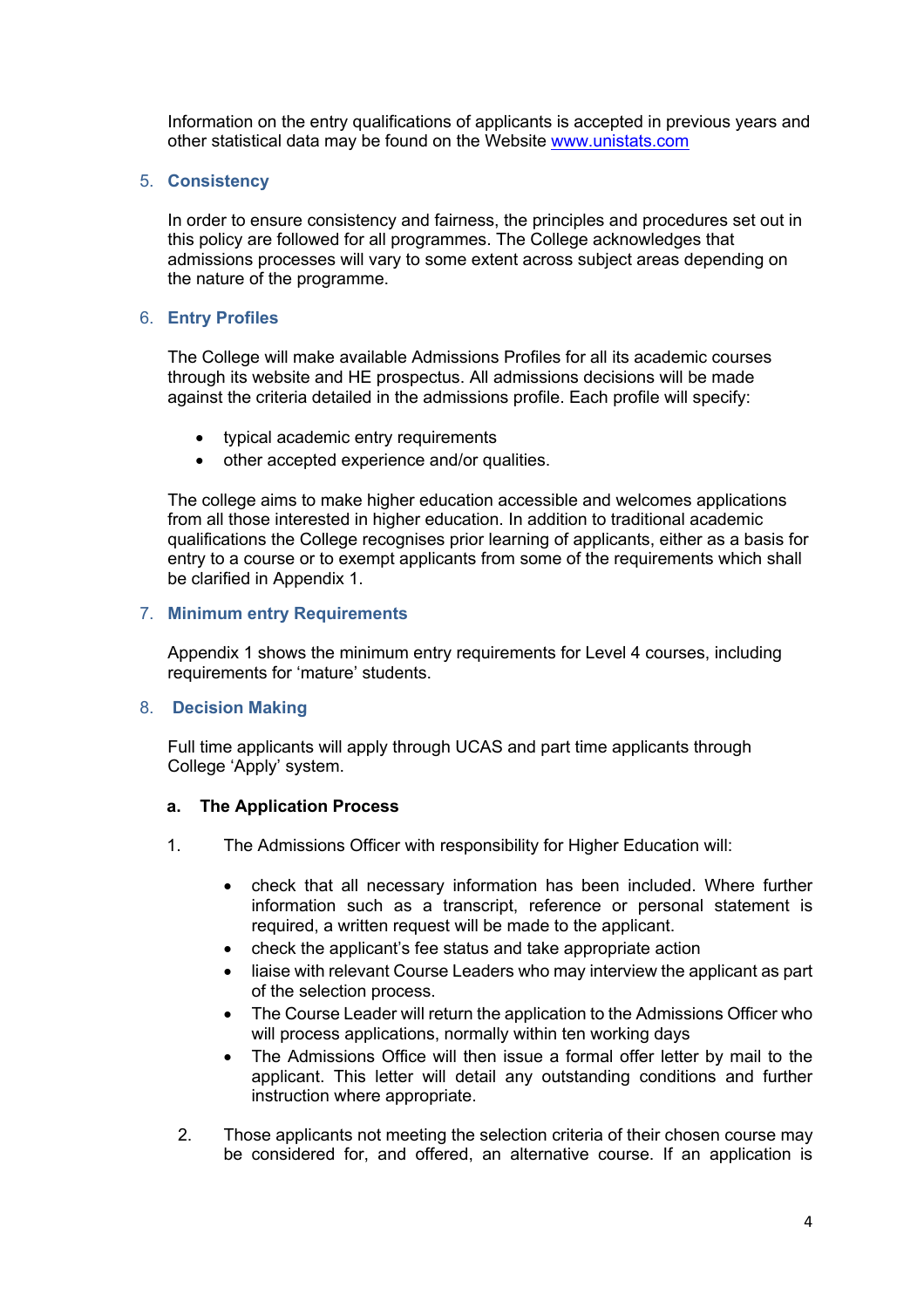Information on the entry qualifications of applicants is accepted in previous years and other statistical data may be found on the Website www.unistats.com

## 5. **Consistency**

In order to ensure consistency and fairness, the principles and procedures set out in this policy are followed for all programmes. The College acknowledges that admissions processes will vary to some extent across subject areas depending on the nature of the programme.

# 6. **Entry Profiles**

The College will make available Admissions Profiles for all its academic courses through its website and HE prospectus. All admissions decisions will be made against the criteria detailed in the admissions profile. Each profile will specify:

- typical academic entry requirements
- other accepted experience and/or qualities.

The college aims to make higher education accessible and welcomes applications from all those interested in higher education. In addition to traditional academic qualifications the College recognises prior learning of applicants, either as a basis for entry to a course or to exempt applicants from some of the requirements which shall be clarified in Appendix 1.

## 7. **Minimum entry Requirements**

Appendix 1 shows the minimum entry requirements for Level 4 courses, including requirements for 'mature' students.

#### 8. **Decision Making**

Full time applicants will apply through UCAS and part time applicants through College 'Apply' system.

#### **a. The Application Process**

- 1. The Admissions Officer with responsibility for Higher Education will:
	- check that all necessary information has been included. Where further information such as a transcript, reference or personal statement is required, a written request will be made to the applicant.
	- check the applicant's fee status and take appropriate action
	- liaise with relevant Course Leaders who may interview the applicant as part of the selection process.
	- The Course Leader will return the application to the Admissions Officer who will process applications, normally within ten working days
	- The Admissions Office will then issue a formal offer letter by mail to the applicant. This letter will detail any outstanding conditions and further instruction where appropriate.
- 2. Those applicants not meeting the selection criteria of their chosen course may be considered for, and offered, an alternative course. If an application is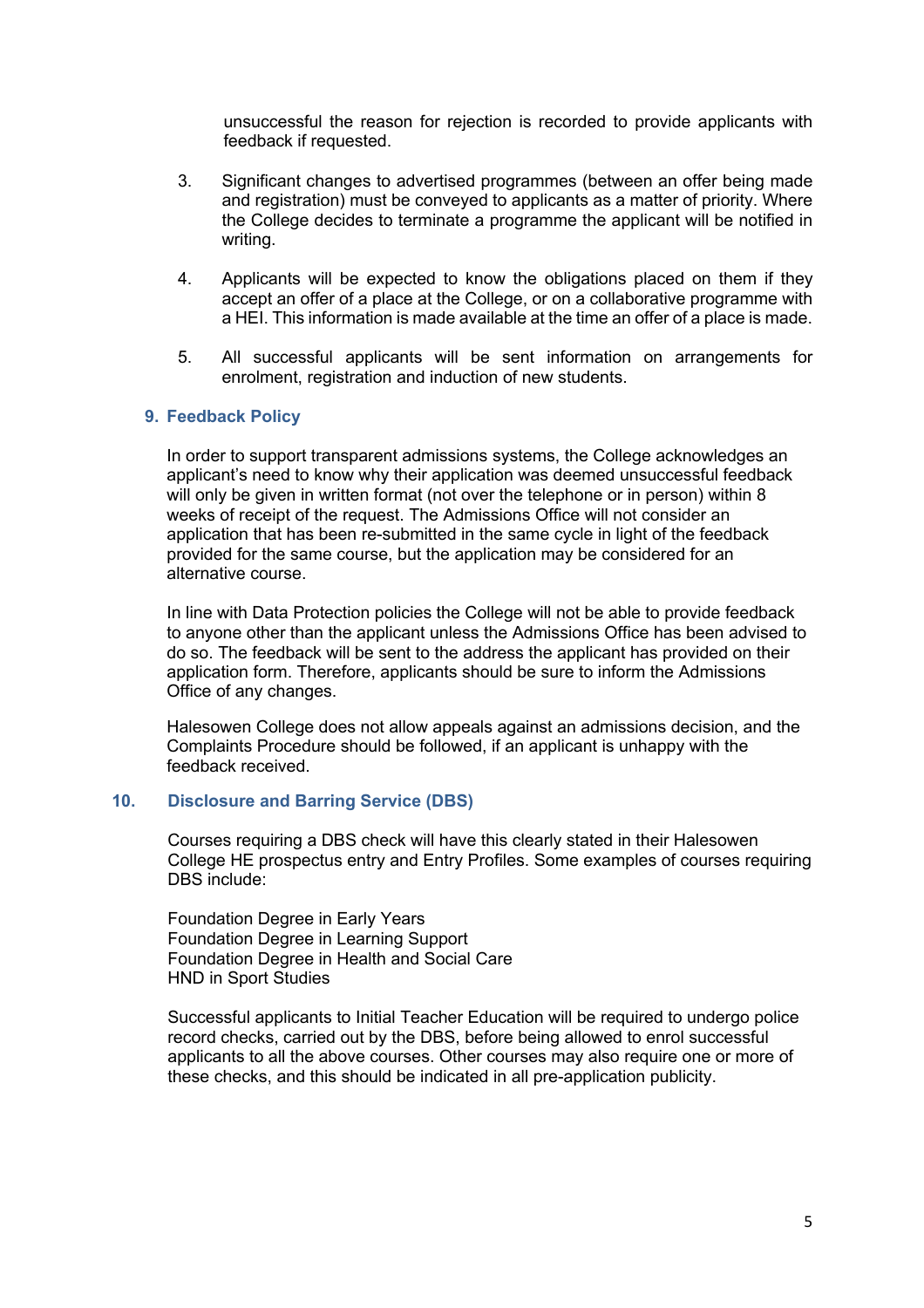unsuccessful the reason for rejection is recorded to provide applicants with feedback if requested.

- 3. Significant changes to advertised programmes (between an offer being made and registration) must be conveyed to applicants as a matter of priority. Where the College decides to terminate a programme the applicant will be notified in writing.
- 4. Applicants will be expected to know the obligations placed on them if they accept an offer of a place at the College, or on a collaborative programme with a HEI. This information is made available at the time an offer of a place is made.
- 5. All successful applicants will be sent information on arrangements for enrolment, registration and induction of new students.

## **9. Feedback Policy**

In order to support transparent admissions systems, the College acknowledges an applicant's need to know why their application was deemed unsuccessful feedback will only be given in written format (not over the telephone or in person) within 8 weeks of receipt of the request. The Admissions Office will not consider an application that has been re-submitted in the same cycle in light of the feedback provided for the same course, but the application may be considered for an alternative course.

In line with Data Protection policies the College will not be able to provide feedback to anyone other than the applicant unless the Admissions Office has been advised to do so. The feedback will be sent to the address the applicant has provided on their application form. Therefore, applicants should be sure to inform the Admissions Office of any changes.

Halesowen College does not allow appeals against an admissions decision, and the Complaints Procedure should be followed, if an applicant is unhappy with the feedback received.

#### **10. Disclosure and Barring Service (DBS)**

Courses requiring a DBS check will have this clearly stated in their Halesowen College HE prospectus entry and Entry Profiles. Some examples of courses requiring DBS include:

Foundation Degree in Early Years Foundation Degree in Learning Support Foundation Degree in Health and Social Care HND in Sport Studies

Successful applicants to Initial Teacher Education will be required to undergo police record checks, carried out by the DBS, before being allowed to enrol successful applicants to all the above courses. Other courses may also require one or more of these checks, and this should be indicated in all pre-application publicity.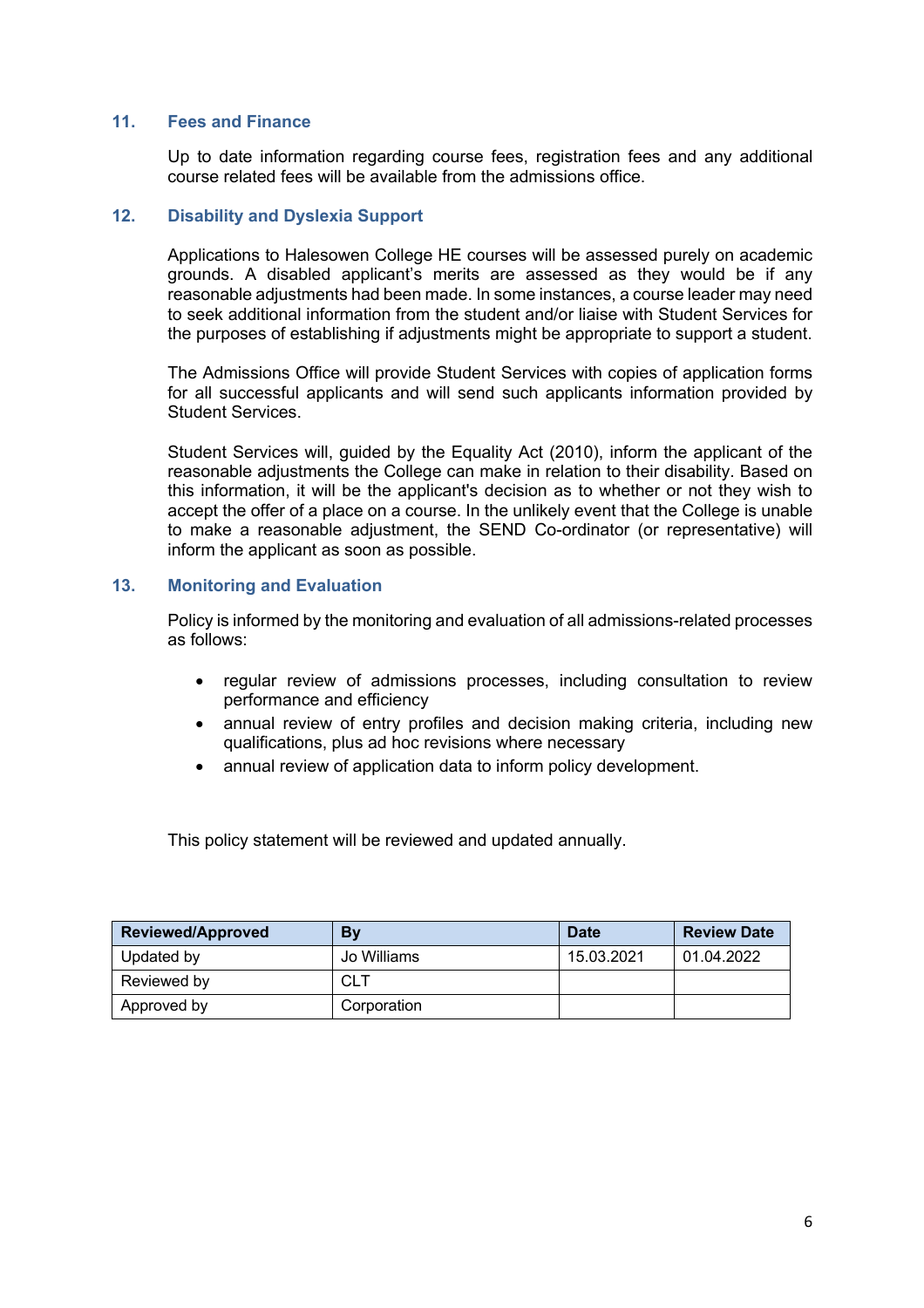### **11. Fees and Finance**

Up to date information regarding course fees, registration fees and any additional course related fees will be available from the admissions office.

# **12. Disability and Dyslexia Support**

Applications to Halesowen College HE courses will be assessed purely on academic grounds. A disabled applicant's merits are assessed as they would be if any reasonable adjustments had been made. In some instances, a course leader may need to seek additional information from the student and/or liaise with Student Services for the purposes of establishing if adjustments might be appropriate to support a student.

The Admissions Office will provide Student Services with copies of application forms for all successful applicants and will send such applicants information provided by Student Services.

Student Services will, guided by the Equality Act (2010), inform the applicant of the reasonable adjustments the College can make in relation to their disability. Based on this information, it will be the applicant's decision as to whether or not they wish to accept the offer of a place on a course. In the unlikely event that the College is unable to make a reasonable adjustment, the SEND Co-ordinator (or representative) will inform the applicant as soon as possible.

# **13. Monitoring and Evaluation**

Policy is informed by the monitoring and evaluation of all admissions-related processes as follows:

- regular review of admissions processes, including consultation to review performance and efficiency
- annual review of entry profiles and decision making criteria, including new qualifications, plus ad hoc revisions where necessary
- annual review of application data to inform policy development.

This policy statement will be reviewed and updated annually.

| <b>Reviewed/Approved</b> | By          | <b>Date</b> | <b>Review Date</b> |
|--------------------------|-------------|-------------|--------------------|
| Updated by               | Jo Williams | 15.03.2021  | 01.04.2022         |
| Reviewed by              | CLT         |             |                    |
| Approved by              | Corporation |             |                    |